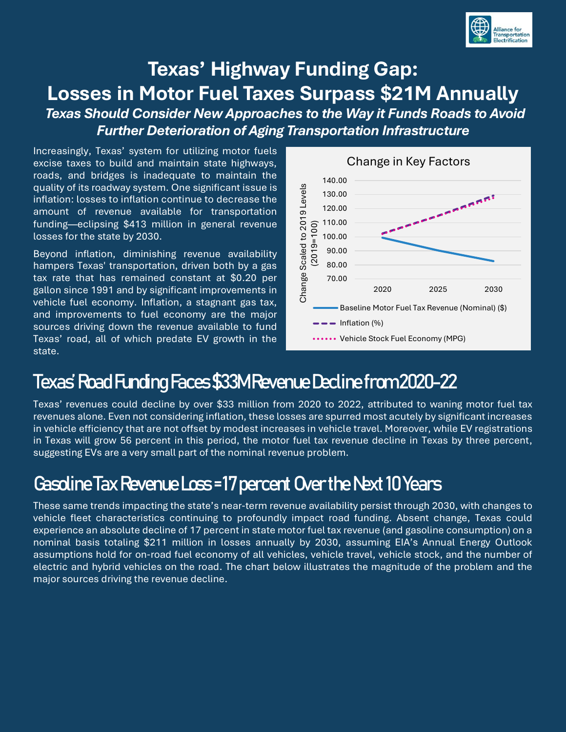

### **Texas' Highway Funding Gap: Losses in Motor Fuel Taxes Surpass \$21M Annually**

*Texas Should Consider New Approaches to the Way it Funds Roads to Avoid Further Deterioration of Aging Transportation Infrastructure*

Increasingly, Texas' system for utilizing motor fuels excise taxes to build and maintain state highways, roads, and bridges is inadequate to maintain the quality of its roadway system. One significant issue is inflation: losses to inflation continue to decrease the amount of revenue available for transportation funding—eclipsing \$413 million in general revenue losses for the state by 2030.

Beyond inflation, diminishing revenue availability hampers Texas' transportation, driven both by a gas tax rate that has remained constant at \$0.20 per gallon since 1991 and by significant improvements in vehicle fuel economy. Inflation, a stagnant gas tax, and improvements to fuel economy are the major sources driving down the revenue available to fund Texas' road, all of which predate EV growth in the state.



## Texas' Road Funding Faces \$33M Revenue Decline from2020-22

Texas' revenues could decline by over \$33 million from 2020 to 2022, attributed to waning motor fuel tax revenues alone. Even not considering inflation, these losses are spurred most acutely by significant increases in vehicle efficiency that are not offset by modest increases in vehicle travel. Moreover, while EV registrations in Texas will grow 56 percent in this period, the motor fuel tax revenue decline in Texas by three percent, suggesting EVs are a very small part of the nominal revenue problem.

#### Gasoline Tax Revenue Loss = 17 percent Over the Next 10 Years

These same trends impacting the state's near-term revenue availability persist through 2030, with changes to vehicle fleet characteristics continuing to profoundly impact road funding. Absent change, Texas could experience an absolute decline of 17 percent in state motor fuel tax revenue (and gasoline consumption) on a nominal basis totaling \$211 million in losses annually by 2030, assuming EIA's Annual Energy Outlook assumptions hold for on-road fuel economy of all vehicles, vehicle travel, vehicle stock, and the number of electric and hybrid vehicles on the road. The chart below illustrates the magnitude of the problem and the major sources driving the revenue decline.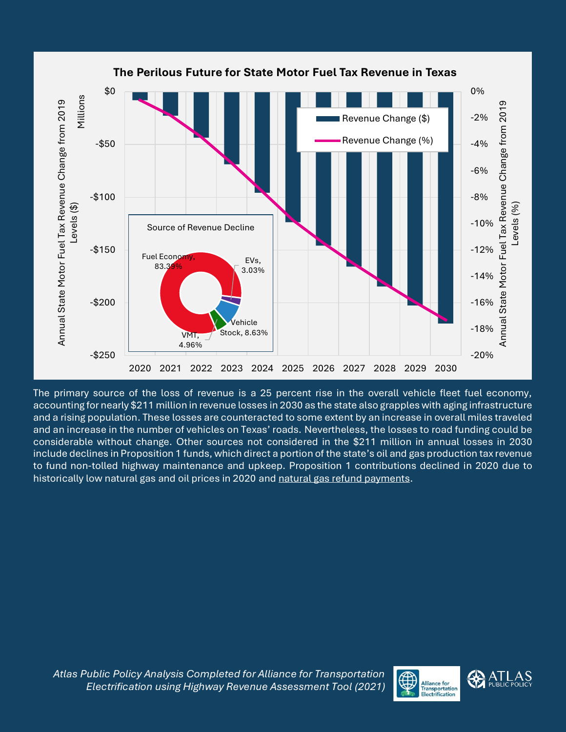

The primary source of the loss of revenue is a 25 percent rise in the overall vehicle fleet fuel economy, accounting for nearly \$211 million in revenue losses in 2030 as the state also grapples with aging infrastructure and a rising population. These losses are counteracted to some extent by an increase in overall miles traveled and an increase in the number of vehicles on Texas' roads. Nevertheless, the losses to road funding could be considerable without change. Other sources not considered in the \$211 million in annual losses in 2030 include declines in Proposition 1 funds, which direct a portion of the state's oil and gas production tax revenue to fund non-tolled highway maintenance and upkeep. Proposition 1 contributions declined in 2020 due to historically low natural gas and oil prices in 2020 and [natural gas refund payments.](https://comptroller.texas.gov/about/media-center/news/2020/200901-sales-tax.php)

*Atlas Public Policy Analysis Completed for Alliance for Transportation Electrification using Highway Revenue Assessment Tool (2021)*